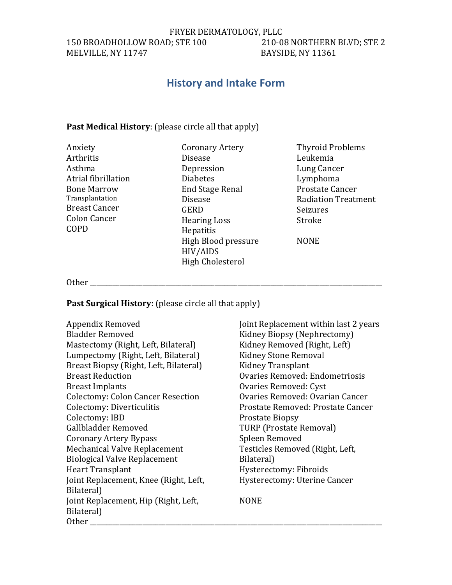FRYER DERMATOLOGY, PLLC<br>210-08 NORTHERN BLVD; STE 2 150 BROADHOLLOW ROAD; STE 100 MELVILLE, NY 11747 BAYSIDE, NY 11361

# **History and Intake Form**

# **Past Medical History:** (please circle all that apply)

| Anxiety              | <b>Coronary Artery</b>  | <b>Thyroid Problems</b>    |
|----------------------|-------------------------|----------------------------|
| Arthritis            | <b>Disease</b>          | Leukemia                   |
| Asthma               | Depression              | Lung Cancer                |
| Atrial fibrillation  | <b>Diabetes</b>         | Lymphoma                   |
| <b>Bone Marrow</b>   | <b>End Stage Renal</b>  | Prostate Cancer            |
| Transplantation      | <b>Disease</b>          | <b>Radiation Treatment</b> |
| <b>Breast Cancer</b> | <b>GERD</b>             | Seizures                   |
| <b>Colon Cancer</b>  | <b>Hearing Loss</b>     | Stroke                     |
| COPD                 | Hepatitis               |                            |
|                      | High Blood pressure     | <b>NONE</b>                |
|                      | HIV/AIDS                |                            |
|                      | <b>High Cholesterol</b> |                            |

Other \_\_\_\_\_\_\_\_\_\_\_\_\_\_\_\_\_\_\_\_\_\_\_\_\_\_\_\_\_\_\_\_\_\_\_\_\_\_\_\_\_\_\_\_\_\_\_\_\_\_\_\_\_\_\_\_\_\_\_\_\_\_\_\_\_\_\_\_\_\_\_\_\_\_\_\_\_\_\_\_\_\_\_\_\_\_\_\_\_

**Past Surgical History:** (please circle all that apply)

| Appendix Removed                         | Joint Replacement within last 2 years |
|------------------------------------------|---------------------------------------|
| <b>Bladder Removed</b>                   | Kidney Biopsy (Nephrectomy)           |
| Mastectomy (Right, Left, Bilateral)      | Kidney Removed (Right, Left)          |
| Lumpectomy (Right, Left, Bilateral)      | <b>Kidney Stone Removal</b>           |
| Breast Biopsy (Right, Left, Bilateral)   | Kidney Transplant                     |
| <b>Breast Reduction</b>                  | Ovaries Removed: Endometriosis        |
| <b>Breast Implants</b>                   | Ovaries Removed: Cyst                 |
| <b>Colectomy: Colon Cancer Resection</b> | Ovaries Removed: Ovarian Cancer       |
| Colectomy: Diverticulitis                | Prostate Removed: Prostate Cancer     |
| Colectomy: IBD                           | <b>Prostate Biopsy</b>                |
| Gallbladder Removed                      | <b>TURP (Prostate Removal)</b>        |
| <b>Coronary Artery Bypass</b>            | Spleen Removed                        |
| <b>Mechanical Valve Replacement</b>      | Testicles Removed (Right, Left,       |
| <b>Biological Valve Replacement</b>      | Bilateral)                            |
| <b>Heart Transplant</b>                  | Hysterectomy: Fibroids                |
| Joint Replacement, Knee (Right, Left,    | Hysterectomy: Uterine Cancer          |
| Bilateral)                               |                                       |
| Joint Replacement, Hip (Right, Left,     | <b>NONE</b>                           |
| Bilateral)                               |                                       |
| <b>Other</b>                             |                                       |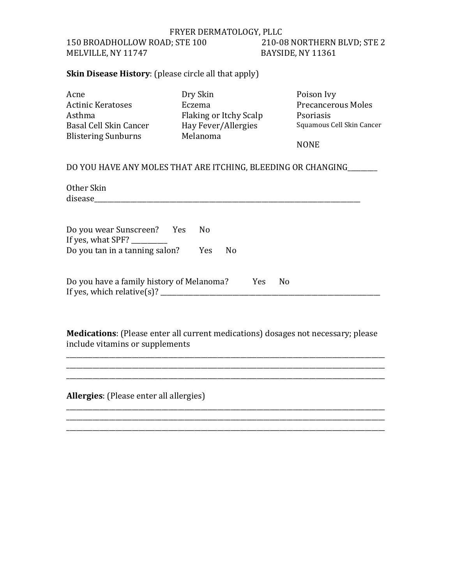### FRYER DERMATOLOGY, PLLC 150 BROADHOLLOW ROAD; STE 100 210-08 NORTHERN BLVD; STE 2 MELVILLE, NY 11747 BAYSIDE, NY 11361

### **Skin Disease History**: (please circle all that apply)

| Acne                       | Dry Skin               | Poison Ivy                |
|----------------------------|------------------------|---------------------------|
| Actinic Keratoses          | Eczema                 | <b>Precancerous Moles</b> |
| Asthma                     | Flaking or Itchy Scalp | Psoriasis                 |
| Basal Cell Skin Cancer     | Hay Fever/Allergies    | Squamous Cell Skin Cancer |
| <b>Blistering Sunburns</b> | Melanoma               |                           |
|                            |                        | <b>NONE</b>               |

#### DO YOU HAVE ANY MOLES THAT ARE ITCHING, BLEEDING OR CHANGING

Other Skin disease\_\_\_\_\_\_\_\_\_\_\_\_\_\_\_\_\_\_\_\_\_\_\_\_\_\_\_\_\_\_\_\_\_\_\_\_\_\_\_\_\_\_\_\_\_\_\_\_\_\_\_\_\_\_\_\_\_\_\_\_\_\_\_\_\_\_\_\_\_\_\_\_\_\_\_\_\_\_\_\_\_

Do you wear Sunscreen? Yes No If yes, what  $SPF$ ? Do you tan in a tanning salon? Yes No

| Do you have a family history of Melanoma? | Yes | - No |  |
|-------------------------------------------|-----|------|--|
| If yes, which relative(s)?                |     |      |  |

**Medications**: (Please enter all current medications) dosages not necessary; please include vitamins or supplements

\_\_\_\_\_\_\_\_\_\_\_\_\_\_\_\_\_\_\_\_\_\_\_\_\_\_\_\_\_\_\_\_\_\_\_\_\_\_\_\_\_\_\_\_\_\_\_\_\_\_\_\_\_\_\_\_\_\_\_\_\_\_\_\_\_\_\_\_\_\_\_\_\_\_\_\_\_\_\_\_\_\_\_\_\_\_\_\_\_\_\_\_\_\_\_\_\_ \_\_\_\_\_\_\_\_\_\_\_\_\_\_\_\_\_\_\_\_\_\_\_\_\_\_\_\_\_\_\_\_\_\_\_\_\_\_\_\_\_\_\_\_\_\_\_\_\_\_\_\_\_\_\_\_\_\_\_\_\_\_\_\_\_\_\_\_\_\_\_\_\_\_\_\_\_\_\_\_\_\_\_\_\_\_\_\_\_\_\_\_\_\_\_\_\_

\_\_\_\_\_\_\_\_\_\_\_\_\_\_\_\_\_\_\_\_\_\_\_\_\_\_\_\_\_\_\_\_\_\_\_\_\_\_\_\_\_\_\_\_\_\_\_\_\_\_\_\_\_\_\_\_\_\_\_\_\_\_\_\_\_\_\_\_\_\_\_\_\_\_\_\_\_\_\_\_\_\_\_\_\_\_\_\_\_\_\_\_\_\_\_\_\_

\_\_\_\_\_\_\_\_\_\_\_\_\_\_\_\_\_\_\_\_\_\_\_\_\_\_\_\_\_\_\_\_\_\_\_\_\_\_\_\_\_\_\_\_\_\_\_\_\_\_\_\_\_\_\_\_\_\_\_\_\_\_\_\_\_\_\_\_\_\_\_\_\_\_\_\_\_\_\_\_\_\_\_\_\_\_\_\_\_\_\_\_\_\_\_\_\_

**Allergies**: (Please enter all allergies)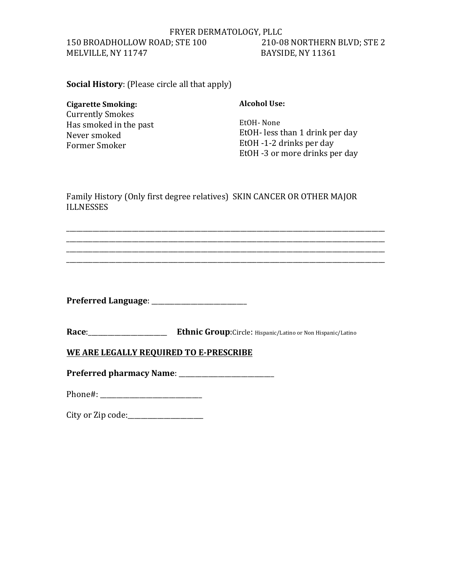#### FRYER DERMATOLOGY, PLLC 150 BROADHOLLOW ROAD; STE 100 210-08 NORTHERN BLVD; STE 2 MELVILLE, NY 11747 BAYSIDE, NY 11361

**Social History**: (Please circle all that apply)

#### **Cigarette Smoking:**

**Currently Smokes** Has smoked in the past Never smoked Former Smoker

**Alcohol Use:** 

EtOH- None EtOH- less than 1 drink per day EtOH -1-2 drinks per day EtOH -3 or more drinks per day

Family History (Only first degree relatives) SKIN CANCER OR OTHER MAJOR **ILLNESSES** 

\_\_\_\_\_\_\_\_\_\_\_\_\_\_\_\_\_\_\_\_\_\_\_\_\_\_\_\_\_\_\_\_\_\_\_\_\_\_\_\_\_\_\_\_\_\_\_\_\_\_\_\_\_\_\_\_\_\_\_\_\_\_\_\_\_\_\_\_\_\_\_\_\_\_\_\_\_\_\_\_\_\_\_\_\_\_\_\_\_\_\_\_\_\_\_\_\_ \_\_\_\_\_\_\_\_\_\_\_\_\_\_\_\_\_\_\_\_\_\_\_\_\_\_\_\_\_\_\_\_\_\_\_\_\_\_\_\_\_\_\_\_\_\_\_\_\_\_\_\_\_\_\_\_\_\_\_\_\_\_\_\_\_\_\_\_\_\_\_\_\_\_\_\_\_\_\_\_\_\_\_\_\_\_\_\_\_\_\_\_\_\_\_\_\_ \_\_\_\_\_\_\_\_\_\_\_\_\_\_\_\_\_\_\_\_\_\_\_\_\_\_\_\_\_\_\_\_\_\_\_\_\_\_\_\_\_\_\_\_\_\_\_\_\_\_\_\_\_\_\_\_\_\_\_\_\_\_\_\_\_\_\_\_\_\_\_\_\_\_\_\_\_\_\_\_\_\_\_\_\_\_\_\_\_\_\_\_\_\_\_\_\_ \_\_\_\_\_\_\_\_\_\_\_\_\_\_\_\_\_\_\_\_\_\_\_\_\_\_\_\_\_\_\_\_\_\_\_\_\_\_\_\_\_\_\_\_\_\_\_\_\_\_\_\_\_\_\_\_\_\_\_\_\_\_\_\_\_\_\_\_\_\_\_\_\_\_\_\_\_\_\_\_\_\_\_\_\_\_\_\_\_\_\_\_\_\_\_\_\_

Race: \_\_\_\_\_\_\_\_\_\_\_\_\_\_\_\_\_\_\_\_\_\_\_\_\_\_\_\_ Ethnic Group:Circle: Hispanic/Latino or Non Hispanic/Latino

**WE ARE LEGALLY REQUIRED TO E-PRESCRIBE** 

**Preferred Language**: \_\_\_\_\_\_\_\_\_\_\_\_\_\_\_\_\_\_\_\_\_\_\_\_\_\_\_\_\_

Preferred pharmacy Name: **\_\_\_\_\_\_\_\_\_\_\_\_\_\_\_\_\_\_\_\_** 

Phone#: \_\_\_\_\_\_\_\_\_\_\_\_\_\_\_\_\_\_\_\_\_\_\_\_\_\_\_\_\_\_\_

City or Zip code: